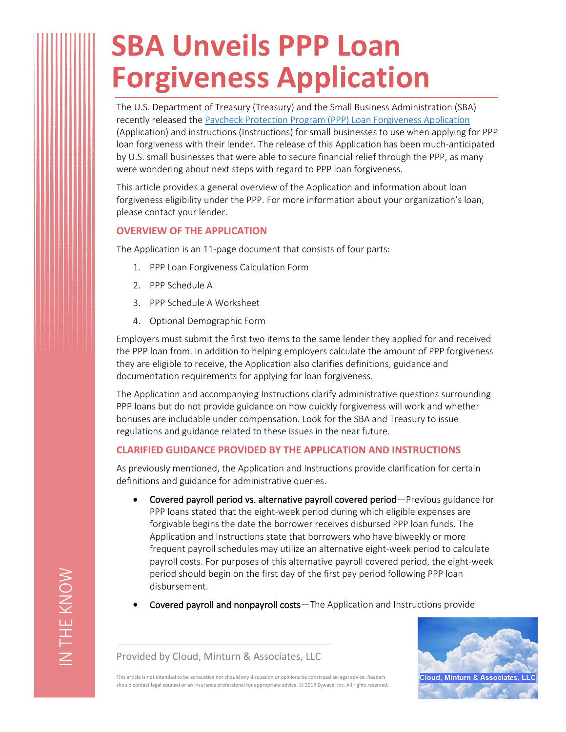## **SBA Unveils PPP Loan Forgiveness Application**

The U.S. Department of Treasury (Treasury) and the Small Business Administration (SBA) recently released the [Paycheck Protection Program \(PPP\) Loan Forgiveness Application](https://home.treasury.gov/system/files/136/3245-0407-SBA-Form-3508-PPP-Forgiveness-Application.pdf) (Application) and instructions (Instructions) for small businesses to use when applying for PPP loan forgiveness with their lender. The release of this Application has been much-anticipated by U.S. small businesses that were able to secure financial relief through the PPP, as many were wondering about next steps with regard to PPP loan forgiveness.

This article provides a general overview of the Application and information about loan forgiveness eligibility under the PPP. For more information about your organization's loan, please contact your lender.

## **OVERVIEW OF THE APPLICATION**

The Application is an 11-page document that consists of four parts:

- 1. PPP Loan Forgiveness Calculation Form
- 2. PPP Schedule A
- 3. PPP Schedule A Worksheet
- 4. Optional Demographic Form

Employers must submit the first two items to the same lender they applied for and received the PPP loan from. In addition to helping employers calculate the amount of PPP forgiveness they are eligible to receive, the Application also clarifies definitions, guidance and documentation requirements for applying for loan forgiveness.

The Application and accompanying Instructions clarify administrative questions surrounding PPP loans but do not provide guidance on how quickly forgiveness will work and whether bonuses are includable under compensation. Look for the SBA and Treasury to issue regulations and guidance related to these issues in the near future.

## **CLARIFIED GUIDANCE PROVIDED BY THE APPLICATION AND INSTRUCTIONS**

As previously mentioned, the Application and Instructions provide clarification for certain definitions and guidance for administrative queries.

- **Covered payroll period vs. alternative payroll covered period**—Previous guidance for PPP loans stated that the eight-week period during which eligible expenses are forgivable begins the date the borrower receives disbursed PPP loan funds. The Application and Instructions state that borrowers who have biweekly or more frequent payroll schedules may utilize an alternative eight-week period to calculate payroll costs. For purposes of this alternative payroll covered period, the eight-week period should begin on the first day of the first pay period following PPP loan disbursement.
- **Covered payroll and nonpayroll costs**—The Application and Instructions provide

Cloud, Minturn & Associates, LL

Provided by Cloud, Minturn & Associates, LLC

This article is not intended to be exhaustive nor should any discussion or opinions be construed as legal advice. Readers should contact legal counsel or an insurance professional for appropriate advice. © 2019 Zywave, Inc. All rights reserved.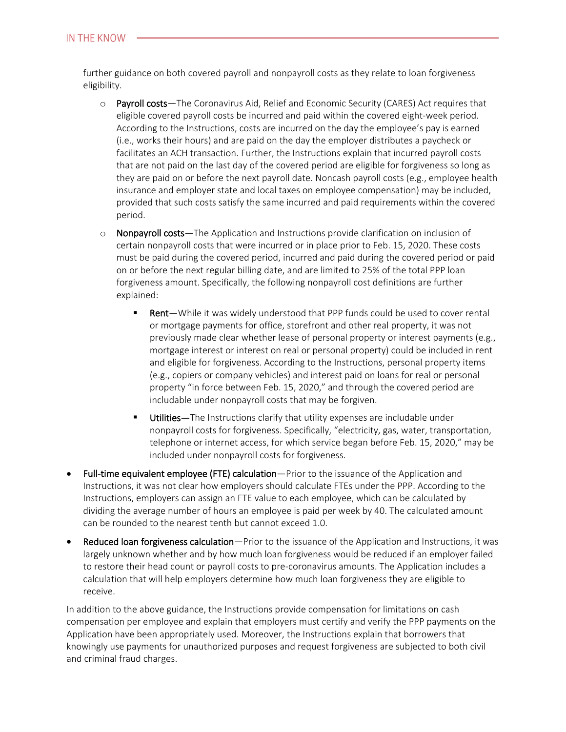further guidance on both covered payroll and nonpayroll costs as they relate to loan forgiveness eligibility.

- o **Payroll costs**—The Coronavirus Aid, Relief and Economic Security (CARES) Act requires that eligible covered payroll costs be incurred and paid within the covered eight-week period. According to the Instructions, costs are incurred on the day the employee's pay is earned (i.e., works their hours) and are paid on the day the employer distributes a paycheck or facilitates an ACH transaction. Further, the Instructions explain that incurred payroll costs that are not paid on the last day of the covered period are eligible for forgiveness so long as they are paid on or before the next payroll date. Noncash payroll costs (e.g., employee health insurance and employer state and local taxes on employee compensation) may be included, provided that such costs satisfy the same incurred and paid requirements within the covered period.
- o **Nonpayroll costs**—The Application and Instructions provide clarification on inclusion of certain nonpayroll costs that were incurred or in place prior to Feb. 15, 2020. These costs must be paid during the covered period, incurred and paid during the covered period or paid on or before the next regular billing date, and are limited to 25% of the total PPP loan forgiveness amount. Specifically, the following nonpayroll cost definitions are further explained:
	- **Rent**—While it was widely understood that PPP funds could be used to cover rental or mortgage payments for office, storefront and other real property, it was not previously made clear whether lease of personal property or interest payments (e.g., mortgage interest or interest on real or personal property) could be included in rent and eligible for forgiveness. According to the Instructions, personal property items (e.g., copiers or company vehicles) and interest paid on loans for real or personal property "in force between Feb. 15, 2020," and through the covered period are includable under nonpayroll costs that may be forgiven.
	- **Utilities—**The Instructions clarify that utility expenses are includable under nonpayroll costs for forgiveness. Specifically, "electricity, gas, water, transportation, telephone or internet access, for which service began before Feb. 15, 2020," may be included under nonpayroll costs for forgiveness.
- **Full-time equivalent employee (FTE) calculation**—Prior to the issuance of the Application and Instructions, it was not clear how employers should calculate FTEs under the PPP. According to the Instructions, employers can assign an FTE value to each employee, which can be calculated by dividing the average number of hours an employee is paid per week by 40. The calculated amount can be rounded to the nearest tenth but cannot exceed 1.0.
- **Reduced loan forgiveness calculation**—Prior to the issuance of the Application and Instructions, it was largely unknown whether and by how much loan forgiveness would be reduced if an employer failed to restore their head count or payroll costs to pre-coronavirus amounts. The Application includes a calculation that will help employers determine how much loan forgiveness they are eligible to receive.

In addition to the above guidance, the Instructions provide compensation for limitations on cash compensation per employee and explain that employers must certify and verify the PPP payments on the Application have been appropriately used. Moreover, the Instructions explain that borrowers that knowingly use payments for unauthorized purposes and request forgiveness are subjected to both civil and criminal fraud charges.